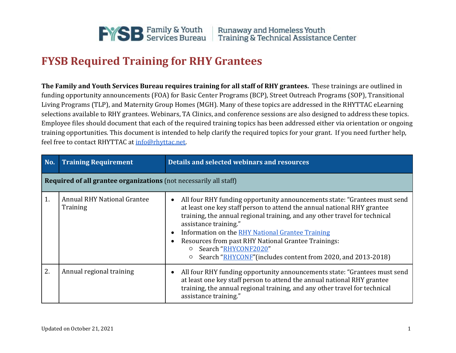

## **FYSB Required Training for RHY Grantees**

**The Family and Youth Services Bureau requires training for all staff of RHY grantees.** These trainings are outlined in funding opportunity announcements (FOA) for Basic Center Programs (BCP), Street Outreach Programs (SOP), Transitional Living Programs (TLP), and Maternity Group Homes (MGH). Many of these topics are addressed in the RHYTTAC eLearning selections available to RHY grantees. Webinars, TA Clinics, and conference sessions are also designed to address these topics. Employee files should document that each of the required training topics has been addressed either via orientation or ongoing training opportunities. This document is intended to help clarify the required topics for your grant. If you need further help, feel free to contact RHYTTAC a[t info@rhyttac.net.](mailto:info@rhyttac.net)

| No. | <b>Training Requirement</b>                                       | Details and selected webinars and resources                                                                                                                                                                                                                                                                                                                                                                                                                                                              |  |  |
|-----|-------------------------------------------------------------------|----------------------------------------------------------------------------------------------------------------------------------------------------------------------------------------------------------------------------------------------------------------------------------------------------------------------------------------------------------------------------------------------------------------------------------------------------------------------------------------------------------|--|--|
|     | Required of all grantee organizations (not necessarily all staff) |                                                                                                                                                                                                                                                                                                                                                                                                                                                                                                          |  |  |
| 1.  | <b>Annual RHY National Grantee</b><br>Training                    | All four RHY funding opportunity announcements state: "Grantees must send<br>$\bullet$<br>at least one key staff person to attend the annual national RHY grantee<br>training, the annual regional training, and any other travel for technical<br>assistance training."<br>Information on the RHY National Grantee Training<br>$\bullet$<br>Resources from past RHY National Grantee Trainings:<br>Search "RHYCONF2020"<br>$\circ$<br>Search "RHYCONF" (includes content from 2020, and 2013-2018)<br>O |  |  |
| 2.  | Annual regional training                                          | All four RHY funding opportunity announcements state: "Grantees must send<br>$\bullet$<br>at least one key staff person to attend the annual national RHY grantee<br>training, the annual regional training, and any other travel for technical<br>assistance training."                                                                                                                                                                                                                                 |  |  |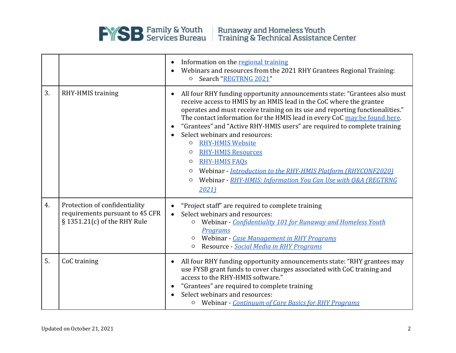

|    |                                                                                                     | Information on the regional training<br>$\bullet$<br>Webinars and resources from the 2021 RHY Grantees Regional Training:<br>O Search "REGTRNG 2021"                                                                                                                                                                                                                                                                                                                                                                                                                                                                                                                                                                                     |  |  |
|----|-----------------------------------------------------------------------------------------------------|------------------------------------------------------------------------------------------------------------------------------------------------------------------------------------------------------------------------------------------------------------------------------------------------------------------------------------------------------------------------------------------------------------------------------------------------------------------------------------------------------------------------------------------------------------------------------------------------------------------------------------------------------------------------------------------------------------------------------------------|--|--|
| 3. | RHY-HMIS training                                                                                   | All four RHY funding opportunity announcements state: "Grantees also must<br>$\bullet$<br>receive access to HMIS by an HMIS lead in the CoC where the grantee<br>operates and must receive training on its use and reporting functionalities."<br>The contact information for the HMIS lead in every CoC may be found here.<br>"Grantees" and "Active RHY-HMIS users" are required to complete training<br>$\bullet$<br>Select webinars and resources:<br>$\bullet$<br><b>RHY-HMIS Website</b><br>O<br><b>RHY-HMIS Resources</b><br>$\circ$<br><b>RHY-HMIS FAQS</b><br>$\circ$<br>Webinar - Introduction to the RHY-HMIS Platform (RHYCONF2020)<br>$\circ$<br>Webinar - RHY-HMIS: Information You Can Use with Q&A (REGTRNG<br>O<br>2021 |  |  |
| 4. | Protection of confidentiality<br>requirements pursuant to 45 CFR<br>$\S$ 1351.21(c) of the RHY Rule | "Project staff" are required to complete training<br>$\bullet$<br>Select webinars and resources:<br>$\bullet$<br>Webinar - Confidentiality 101 for Runaway and Homeless Youth<br>$\circ$<br>Programs<br>Webinar - Case Management in RHY Programs<br>Resource - Social Media in RHY Programs<br>O                                                                                                                                                                                                                                                                                                                                                                                                                                        |  |  |
| 5. | CoC training                                                                                        | All four RHY funding opportunity announcements state: "RHY grantees may<br>$\bullet$<br>use FYSB grant funds to cover charges associated with CoC training and<br>access to the RHY-HMIS software."<br>"Grantees" are required to complete training<br>$\bullet$<br>Select webinars and resources:<br>$\bullet$<br>O Webinar - Continuum of Care Basics for RHY Programs                                                                                                                                                                                                                                                                                                                                                                 |  |  |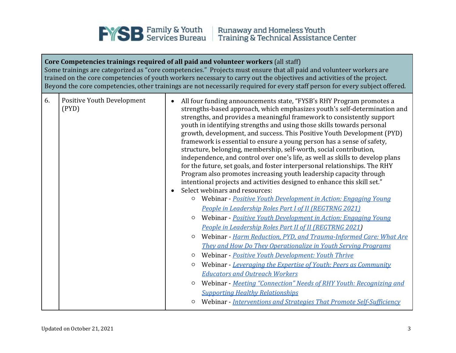

## **Core Competencies trainings required of all paid and volunteer workers** (all staff) Some trainings are categorized as "core competencies." Projects must ensure that all paid and volunteer workers are trained on the core competencies of youth workers necessary to carry out the objectives and activities of the project. Beyond the core competencies, other trainings are not necessarily required for every staff person for every subject offered. 6. Positive Youth Development (PYD) • All four funding announcements state, "FYSB's RHY Program promotes a strengths-based approach, which emphasizes youth's self-determination and strengths, and provides a meaningful framework to consistently support youth in identifying strengths and using those skills towards personal growth, development, and success. This Positive Youth Development (PYD) framework is essential to ensure a young person has a sense of safety, structure, belonging, membership, self-worth, social contribution, independence, and control over one's life, as well as skills to develop plans for the future, set goals, and foster interpersonal relationships. The RHY Program also promotes increasing youth leadership capacity through intentional projects and activities designed to enhance this skill set." • Select webinars and resources: ○ Webinar - *[Positive Youth Development in Action: Engaging Young](https://training.rhyttac.org/group/348)  [People in Leadership Roles Part I of II \(REGTRNG 2021\)](https://training.rhyttac.org/group/348)* ○ Webinar - *[Positive Youth Development in Action: Engaging Young](https://training.rhyttac.org/group/350)  [People in Leadership Roles Part II of II \(REGTRNG 2021\)](https://training.rhyttac.org/group/350)* ○ Webinar *- [Harm Reduction, PYD, and Trauma-Informed Care: What Are](https://training.rhyttac.org/group/147)  [They and How Do They Operationalize in Youth Serving Programs](https://training.rhyttac.org/group/147)* ○ Webinar - *Positive Youth [Development: Youth Thrive](https://training.rhyttac.org/group/166)* ○ Webinar - *[Leveraging the Expertise of Youth: Peers as Community](https://training.rhyttac.org/group/264)  [Educators and Outreach Workers](https://training.rhyttac.org/group/264)* ○ Webinar - *[Meeting "Connection" Needs of RHY](https://training.rhyttac.org/group/269) [Youth: Recognizing and](https://training.rhyttac.org/group/269)  [Supporting Healthy Relationships](https://training.rhyttac.org/group/269)* ○ Webinar - *[Interventions and Strategies That Promote Self-Sufficiency](https://training.rhyttac.org/group/263)*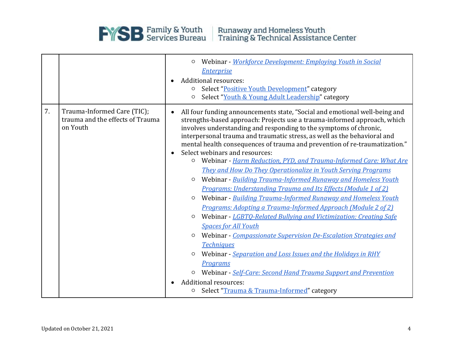

|    |                                                                             | Webinar - Workforce Development: Employing Youth in Social<br>O<br><b>Enterprise</b><br>Additional resources:<br>Select "Positive Youth Development" category<br>O<br>Select "Youth & Young Adult Leadership" category<br>O                                                                                                                                                                                                                                                                                                                                                                                                                                                                                                                                                                                                                                                                                                                                                                                                                                                                                                                                                                                                                                                                                                                                              |  |
|----|-----------------------------------------------------------------------------|--------------------------------------------------------------------------------------------------------------------------------------------------------------------------------------------------------------------------------------------------------------------------------------------------------------------------------------------------------------------------------------------------------------------------------------------------------------------------------------------------------------------------------------------------------------------------------------------------------------------------------------------------------------------------------------------------------------------------------------------------------------------------------------------------------------------------------------------------------------------------------------------------------------------------------------------------------------------------------------------------------------------------------------------------------------------------------------------------------------------------------------------------------------------------------------------------------------------------------------------------------------------------------------------------------------------------------------------------------------------------|--|
| 7. | Trauma-Informed Care (TIC);<br>trauma and the effects of Trauma<br>on Youth | All four funding announcements state, "Social and emotional well-being and<br>$\bullet$<br>strengths-based approach: Projects use a trauma-informed approach, which<br>involves understanding and responding to the symptoms of chronic,<br>interpersonal trauma and traumatic stress, as well as the behavioral and<br>mental health consequences of trauma and prevention of re-traumatization."<br>Select webinars and resources:<br>Webinar - Harm Reduction, PYD, and Trauma-Informed Care: What Are<br>$\circ$<br>They and How Do They Operationalize in Youth Serving Programs<br>Webinar - Building Trauma-Informed Runaway and Homeless Youth<br>$\circ$<br><b>Programs: Understanding Trauma and Its Effects (Module 1 of 2)</b><br>Webinar - Building Trauma-Informed Runaway and Homeless Youth<br>O<br>Programs: Adopting a Trauma-Informed Approach (Module 2 of 2)<br>Webinar - LGBTO-Related Bullying and Victimization: Creating Safe<br>$\circ$<br><b>Spaces for All Youth</b><br>Webinar - Compassionate Supervision De-Escalation Strategies and<br>$\circ$<br><b>Techniques</b><br>Webinar - Separation and Loss Issues and the Holidays in RHY<br>$\circ$<br><b>Programs</b><br>Webinar - Self-Care: Second Hand Trauma Support and Prevention<br>$\circ$<br><b>Additional resources:</b><br>Select "Trauma & Trauma-Informed" category<br>$\circ$ |  |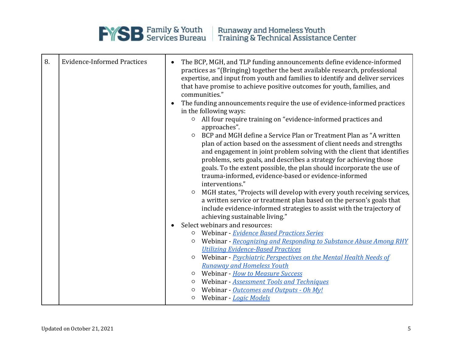

| 8. | <b>Evidence-Informed Practices</b> | $\bullet$<br>$\bullet$<br>$\circ$<br>$\circ$ | The BCP, MGH, and TLP funding announcements define evidence-informed<br>practices as "(Bringing) together the best available research, professional<br>expertise, and input from youth and families to identify and deliver services<br>that have promise to achieve positive outcomes for youth, families, and<br>communities."<br>The funding announcements require the use of evidence-informed practices<br>in the following ways:<br>All four require training on "evidence-informed practices and<br>approaches".<br>BCP and MGH define a Service Plan or Treatment Plan as "A written<br>plan of action based on the assessment of client needs and strengths<br>and engagement in joint problem solving with the client that identifies<br>problems, sets goals, and describes a strategy for achieving those<br>goals. To the extent possible, the plan should incorporate the use of<br>trauma-informed, evidence-based or evidence-informed |
|----|------------------------------------|----------------------------------------------|--------------------------------------------------------------------------------------------------------------------------------------------------------------------------------------------------------------------------------------------------------------------------------------------------------------------------------------------------------------------------------------------------------------------------------------------------------------------------------------------------------------------------------------------------------------------------------------------------------------------------------------------------------------------------------------------------------------------------------------------------------------------------------------------------------------------------------------------------------------------------------------------------------------------------------------------------------|
|    |                                    | $\circ$                                      | interventions."<br>MGH states, "Projects will develop with every youth receiving services,<br>a written service or treatment plan based on the person's goals that<br>include evidence-informed strategies to assist with the trajectory of                                                                                                                                                                                                                                                                                                                                                                                                                                                                                                                                                                                                                                                                                                            |
|    |                                    |                                              | achieving sustainable living."<br>Select webinars and resources:                                                                                                                                                                                                                                                                                                                                                                                                                                                                                                                                                                                                                                                                                                                                                                                                                                                                                       |
|    |                                    | $\circ$                                      | Webinar - Evidence Based Practices Series                                                                                                                                                                                                                                                                                                                                                                                                                                                                                                                                                                                                                                                                                                                                                                                                                                                                                                              |
|    |                                    | $\circ$                                      | Webinar - Recognizing and Responding to Substance Abuse Among RHY                                                                                                                                                                                                                                                                                                                                                                                                                                                                                                                                                                                                                                                                                                                                                                                                                                                                                      |
|    |                                    |                                              | <b>Utilizing Evidence-Based Practices</b>                                                                                                                                                                                                                                                                                                                                                                                                                                                                                                                                                                                                                                                                                                                                                                                                                                                                                                              |
|    |                                    | $\circ$                                      | Webinar - Psychiatric Perspectives on the Mental Health Needs of                                                                                                                                                                                                                                                                                                                                                                                                                                                                                                                                                                                                                                                                                                                                                                                                                                                                                       |
|    |                                    |                                              | <b>Runaway and Homeless Youth</b>                                                                                                                                                                                                                                                                                                                                                                                                                                                                                                                                                                                                                                                                                                                                                                                                                                                                                                                      |
|    |                                    |                                              | o Webinar - How to Measure Success                                                                                                                                                                                                                                                                                                                                                                                                                                                                                                                                                                                                                                                                                                                                                                                                                                                                                                                     |
|    |                                    | O                                            | Webinar - <b>Assessment Tools and Techniques</b>                                                                                                                                                                                                                                                                                                                                                                                                                                                                                                                                                                                                                                                                                                                                                                                                                                                                                                       |
|    |                                    | O                                            | Webinar - Outcomes and Outputs - Oh My!                                                                                                                                                                                                                                                                                                                                                                                                                                                                                                                                                                                                                                                                                                                                                                                                                                                                                                                |
|    |                                    | $\circ$                                      | Webinar - Logic Models                                                                                                                                                                                                                                                                                                                                                                                                                                                                                                                                                                                                                                                                                                                                                                                                                                                                                                                                 |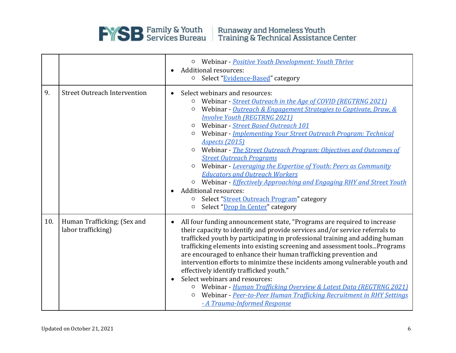

|     |                                                   | O Webinar - Positive Youth Development: Youth Thrive<br>Additional resources:<br>$\bullet$<br>O Select "Evidence-Based" category                                                                                                                                                                                                                                                                                                                                                                                                                                                                                                                                                                                                                                                                                |  |
|-----|---------------------------------------------------|-----------------------------------------------------------------------------------------------------------------------------------------------------------------------------------------------------------------------------------------------------------------------------------------------------------------------------------------------------------------------------------------------------------------------------------------------------------------------------------------------------------------------------------------------------------------------------------------------------------------------------------------------------------------------------------------------------------------------------------------------------------------------------------------------------------------|--|
| 9.  | <b>Street Outreach Intervention</b>               | Select webinars and resources:<br>$\bullet$<br>Webinar - Street Outreach in the Age of COVID (REGTRNG 2021)<br>O<br>Webinar - Outreach & Engagement Strategies to Captivate, Draw, &<br>O<br><b>Involve Youth (REGTRNG 2021)</b><br>Webinar - Street Based Outreach 101<br>$\circ$<br>Webinar - Implementing Your Street Outreach Program: Technical<br>O<br><b>Aspects</b> (2015)<br>Webinar - The Street Outreach Program: Objectives and Outcomes of<br>O<br><b>Street Outreach Programs</b><br>Webinar - Leveraging the Expertise of Youth: Peers as Community<br><b>Educators and Outreach Workers</b><br>O Webinar - Effectively Approaching and Engaging RHY and Street Youth<br><b>Additional resources:</b><br>Select "Street Outreach Program" category<br>O<br>Select "Drop In Center" category<br>O |  |
| 10. | Human Trafficking; (Sex and<br>labor trafficking) | All four funding announcement state, "Programs are required to increase<br>$\bullet$<br>their capacity to identify and provide services and/or service referrals to<br>trafficked youth by participating in professional training and adding human<br>trafficking elements into existing screening and assessment tools Programs<br>are encouraged to enhance their human trafficking prevention and<br>intervention efforts to minimize these incidents among vulnerable youth and<br>effectively identify trafficked youth."<br>Select webinars and resources:<br>Webinar - Human Trafficking Overview & Latest Data (REGTRNG 2021)<br>O<br>Webinar - Peer-to-Peer Human Trafficking Recruitment in RHY Settings<br>$\circ$<br>- A Trauma-Informed Response                                                   |  |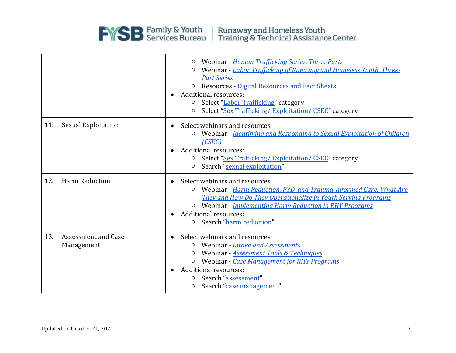

|     |                                          | Webinar - Human Trafficking Series, Three-Parts<br>$\circ$<br>Webinar - Labor Trafficking of Runaway and Homeless Youth, Three-<br><b>Part Series</b><br>o Resources - Digital Resources and Fact Sheets<br><b>Additional resources:</b><br><b>O</b> Select "Labor Trafficking" category<br>Select "Sex Trafficking/ Exploitation/ CSEC" category<br>$\circ$ |  |
|-----|------------------------------------------|--------------------------------------------------------------------------------------------------------------------------------------------------------------------------------------------------------------------------------------------------------------------------------------------------------------------------------------------------------------|--|
| 11. | <b>Sexual Exploitation</b>               | Select webinars and resources:<br>Webinar - Identifying and Responding to Sexual Exploitation of Children<br>$\circ$<br>(CSEC)<br><b>Additional resources:</b><br>Select "Sex Trafficking/Exploitation/CSEC" category<br>O<br>Search "sexual exploitation"<br>O                                                                                              |  |
| 12. | Harm Reduction                           | Select webinars and resources:<br>Webinar - Harm Reduction, PYD, and Trauma-Informed Care: What Are<br>$\circ$<br>They and How Do They Operationalize in Youth Serving Programs<br>O Webinar - Implementing Harm Reduction in RHY Programs<br><b>Additional resources:</b><br>o Search "harm reduction"                                                      |  |
| 13. | <b>Assessment and Case</b><br>Management | Select webinars and resources:<br>Webinar - Intake and Assessments<br>O<br>Webinar - Assessment Tools & Techniques<br>$\Omega$<br>Webinar - Case Management for RHY Programs<br><b>Additional resources:</b><br>Search "assessment"<br>Search "case management"<br>$\circ$                                                                                   |  |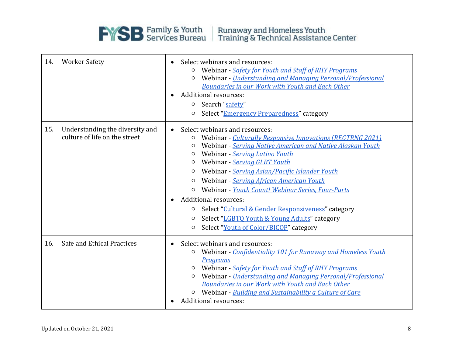

| 14. | <b>Worker Safety</b>                                             | Select webinars and resources:<br>Webinar - Safety for Youth and Staff of RHY Programs<br>O<br>Webinar - Understanding and Managing Personal/Professional<br>O<br>Boundaries in our Work with Youth and Each Other<br><b>Additional resources:</b><br>o Search "safety"<br>Select "Emergency Preparedness" category<br>O                                                                                                                                                                                                                                                                                                             |  |
|-----|------------------------------------------------------------------|--------------------------------------------------------------------------------------------------------------------------------------------------------------------------------------------------------------------------------------------------------------------------------------------------------------------------------------------------------------------------------------------------------------------------------------------------------------------------------------------------------------------------------------------------------------------------------------------------------------------------------------|--|
| 15. | Understanding the diversity and<br>culture of life on the street | Select webinars and resources:<br>Webinar - Culturally Responsive Innovations (REGTRNG 2021)<br>O<br>Webinar - Serving Native American and Native Alaskan Youth<br>O<br>Webinar - Serving Latino Youth<br>O<br>Webinar - Serving GLBT Youth<br>O<br>Webinar - Serving Asian/Pacific Islander Youth<br>O<br>Webinar - Serving African American Youth<br>O<br>Webinar - Youth Count! Webinar Series, Four-Parts<br>$\circ$<br><b>Additional resources:</b><br>$\bullet$<br>Select "Cultural & Gender Responsiveness" category<br>O<br>Select "LGBTQ Youth & Young Adults" category<br>O<br>Select "Youth of Color/BICOP" category<br>O |  |
| 16. | Safe and Ethical Practices                                       | Select webinars and resources:<br>$\bullet$<br>Webinar - Confidentiality 101 for Runaway and Homeless Youth<br>O<br>Programs<br>Webinar - Safety for Youth and Staff of RHY Programs<br>O<br>Webinar - Understanding and Managing Personal/Professional<br>O<br>Boundaries in our Work with Youth and Each Other<br>Webinar - Building and Sustainability a Culture of Care<br>$\circ$<br>Additional resources:                                                                                                                                                                                                                      |  |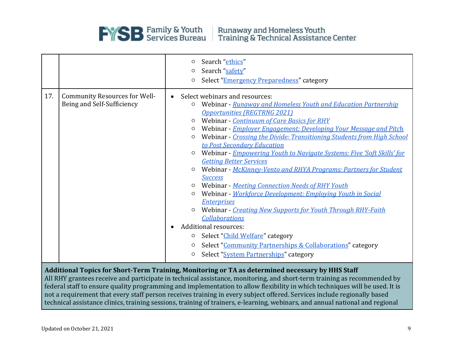

|     |                                                                                                                                                                                                                                                                                                                                                                                                                                                                                       | O                                                                                              | Search "ethics"                                                                                                                                                                                                                                                                                                                                                                                                                                                                                                                                                                                                                                                                                                                                                                                                                                                                                                                                                              |  |
|-----|---------------------------------------------------------------------------------------------------------------------------------------------------------------------------------------------------------------------------------------------------------------------------------------------------------------------------------------------------------------------------------------------------------------------------------------------------------------------------------------|------------------------------------------------------------------------------------------------|------------------------------------------------------------------------------------------------------------------------------------------------------------------------------------------------------------------------------------------------------------------------------------------------------------------------------------------------------------------------------------------------------------------------------------------------------------------------------------------------------------------------------------------------------------------------------------------------------------------------------------------------------------------------------------------------------------------------------------------------------------------------------------------------------------------------------------------------------------------------------------------------------------------------------------------------------------------------------|--|
|     |                                                                                                                                                                                                                                                                                                                                                                                                                                                                                       | O                                                                                              | Search "safety"                                                                                                                                                                                                                                                                                                                                                                                                                                                                                                                                                                                                                                                                                                                                                                                                                                                                                                                                                              |  |
|     |                                                                                                                                                                                                                                                                                                                                                                                                                                                                                       | O                                                                                              | Select "Emergency Preparedness" category                                                                                                                                                                                                                                                                                                                                                                                                                                                                                                                                                                                                                                                                                                                                                                                                                                                                                                                                     |  |
| 17. | <b>Community Resources for Well-</b><br>Being and Self-Sufficiency                                                                                                                                                                                                                                                                                                                                                                                                                    | $\bullet$<br>O<br>O<br>O<br>O<br>O<br>O<br>O<br>O<br>O<br>$\bullet$<br>O<br>$\circ$<br>$\circ$ | Select webinars and resources:<br>Webinar - Runaway and Homeless Youth and Education Partnership<br><b>Opportunities (REGTRNG 2021)</b><br>Webinar - Continuum of Care Basics for RHY<br>Webinar - Employer Engagement: Developing Your Message and Pitch<br>Webinar - Crossing the Divide: Transitioning Students from High School<br>to Post Secondary Education<br>Webinar - Empowering Youth to Navigate Systems: Five 'Soft Skills' for<br><b>Getting Better Services</b><br>Webinar - McKinney-Vento and RHYA Programs: Partners for Student<br><b>Success</b><br>Webinar - Meeting Connection Needs of RHY Youth<br>Webinar - Workforce Development: Employing Youth in Social<br><b>Enterprises</b><br>Webinar - Creating New Supports for Youth Through RHY-Faith<br><b>Collaborations</b><br><b>Additional resources:</b><br>Select "Child Welfare" category<br>Select "Community Partnerships & Collaborations" category<br>Select "System Partnerships" category |  |
|     |                                                                                                                                                                                                                                                                                                                                                                                                                                                                                       |                                                                                                |                                                                                                                                                                                                                                                                                                                                                                                                                                                                                                                                                                                                                                                                                                                                                                                                                                                                                                                                                                              |  |
|     | Additional Topics for Short-Term Training, Monitoring or TA as determined necessary by HHS Staff<br>All RHY grantees receive and participate in technical assistance, monitoring, and short-term training as recommended by<br>federal staff to ensure quality programming and implementation to allow flexibility in which techniques will be used. It is<br>not a requirement that every staff nerson receives training in every subject offered. Services include regionally hased |                                                                                                |                                                                                                                                                                                                                                                                                                                                                                                                                                                                                                                                                                                                                                                                                                                                                                                                                                                                                                                                                                              |  |

not a requirement that every staff person receives training in every subject offered. Services include regionally based technical assistance clinics, training sessions, training of trainers, e-learning, webinars, and annual national and regional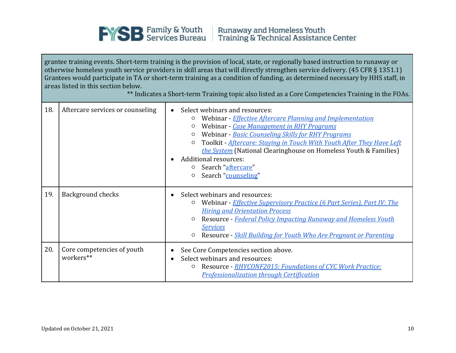

grantee training events. Short-term training is the provision of local, state, or regionally based instruction to runaway or otherwise homeless youth service providers in skill areas that will directly strengthen service delivery. (45 CFR § 1351.1) Grantees would participate in TA or short-term training as a condition of funding, as determined necessary by HHS staff, in areas listed in this section below.

|  |  |  |  | ** Indicates a Short-term Training topic also listed as a Core Competencies Training in the FOAs. |  |
|--|--|--|--|---------------------------------------------------------------------------------------------------|--|
|  |  |  |  |                                                                                                   |  |

| 18. | Aftercare services or counseling        | Select webinars and resources:<br>Webinar - Effective Aftercare Planning and Implementation<br>O<br>Webinar - Case Management in RHY Programs<br>Webinar - Basic Counseling Skills for RHY Programs<br>Toolkit - Aftercare: Staying in Touch With Youth After They Have Left<br>O<br>the System (National Clearinghouse on Homeless Youth & Families)<br><b>Additional resources:</b><br>Search " <u>aftercare</u> "<br>Search "counseling"<br>O |  |
|-----|-----------------------------------------|--------------------------------------------------------------------------------------------------------------------------------------------------------------------------------------------------------------------------------------------------------------------------------------------------------------------------------------------------------------------------------------------------------------------------------------------------|--|
| 19. | <b>Background checks</b>                | Select webinars and resources:<br>Webinar - Effective Supervisory Practice (6 Part Series), Part IV: The<br><b>Hiring and Orientation Process</b><br>Resource - Federal Policy Impacting Runaway and Homeless Youth<br>$\circ$<br><b>Services</b><br>Resource - Skill Building for Youth Who Are Pregnant or Parenting                                                                                                                           |  |
| 20. | Core competencies of youth<br>workers** | See Core Competencies section above.<br>Select webinars and resources:<br>Resource - RHYCONF2015: Foundations of CYC Work Practice:<br>O<br><b>Professionalization through Certification</b>                                                                                                                                                                                                                                                     |  |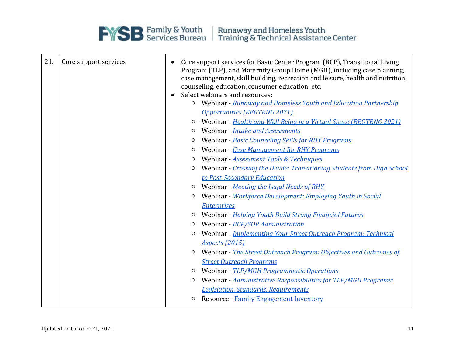

**EXERCITE SERVICES** Family & Youth<br>
Training & Technical Assistance Center

| 21. | Core support services | $\bullet$<br>$\bullet$ | Core support services for Basic Center Program (BCP), Transitional Living<br>Program (TLP), and Maternity Group Home (MGH), including case planning,<br>case management, skill building, recreation and leisure, health and nutrition,<br>counseling, education, consumer education, etc.<br>Select webinars and resources: |  |  |
|-----|-----------------------|------------------------|-----------------------------------------------------------------------------------------------------------------------------------------------------------------------------------------------------------------------------------------------------------------------------------------------------------------------------|--|--|
|     |                       | $\circ$                | Webinar - Runaway and Homeless Youth and Education Partnership                                                                                                                                                                                                                                                              |  |  |
|     |                       |                        | <b>Opportunities (REGTRNG 2021)</b>                                                                                                                                                                                                                                                                                         |  |  |
|     |                       | $\circ$                | Webinar - Health and Well Being in a Virtual Space (REGTRNG 2021)                                                                                                                                                                                                                                                           |  |  |
|     |                       | $\circ$                | Webinar - Intake and Assessments                                                                                                                                                                                                                                                                                            |  |  |
|     |                       | O                      | Webinar - Basic Counseling Skills for RHY Programs                                                                                                                                                                                                                                                                          |  |  |
|     |                       | O                      | Webinar - Case Management for RHY Programs                                                                                                                                                                                                                                                                                  |  |  |
|     |                       | $\circ$                | Webinar - Assessment Tools & Techniques                                                                                                                                                                                                                                                                                     |  |  |
|     |                       | $\circ$                | Webinar - Crossing the Divide: Transitioning Students from High School                                                                                                                                                                                                                                                      |  |  |
|     |                       |                        | to Post-Secondary Education                                                                                                                                                                                                                                                                                                 |  |  |
|     |                       | $\circ$                | Webinar - Meeting the Legal Needs of RHY                                                                                                                                                                                                                                                                                    |  |  |
|     |                       | $\circ$                | Webinar - Workforce Development: Employing Youth in Social                                                                                                                                                                                                                                                                  |  |  |
|     |                       |                        | <b>Enterprises</b>                                                                                                                                                                                                                                                                                                          |  |  |
|     |                       | $\circ$                | Webinar - Helping Youth Build Strong Financial Futures                                                                                                                                                                                                                                                                      |  |  |
|     |                       | O                      | Webinar - BCP/SOP Administration                                                                                                                                                                                                                                                                                            |  |  |
|     |                       | O                      | Webinar - Implementing Your Street Outreach Program: Technical                                                                                                                                                                                                                                                              |  |  |
|     |                       |                        | <b>Aspects</b> (2015)                                                                                                                                                                                                                                                                                                       |  |  |
|     |                       | $\circ$                | Webinar - The Street Outreach Program: Objectives and Outcomes of                                                                                                                                                                                                                                                           |  |  |
|     |                       |                        | <b>Street Outreach Programs</b>                                                                                                                                                                                                                                                                                             |  |  |
|     |                       | $\circ$                | Webinar - TLP/MGH Programmatic Operations                                                                                                                                                                                                                                                                                   |  |  |
|     |                       | $\circ$                | Webinar - Administrative Responsibilities for TLP/MGH Programs:                                                                                                                                                                                                                                                             |  |  |
|     |                       |                        | <b>Legislation, Standards, Requirements</b>                                                                                                                                                                                                                                                                                 |  |  |
|     |                       | $\circ$                | Resource - Family Engagement Inventory                                                                                                                                                                                                                                                                                      |  |  |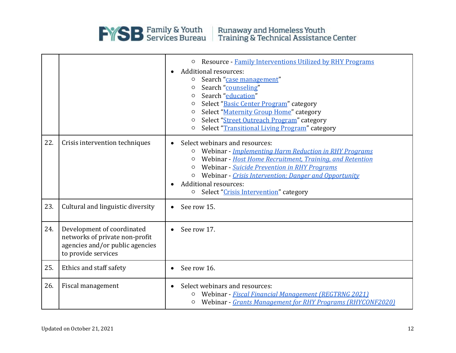

|     |                                                                                                                        | Resource - Family Interventions Utilized by RHY Programs<br>$\circ$<br><b>Additional resources:</b><br>$\bullet$<br>Search "case management"<br>$\circ$<br>Search "counseling"<br>O<br>Search "education"<br>$\circ$<br>Select "Basic Center Program" category<br>O<br>Select "Maternity Group Home" category<br>$\circ$<br>Select "Street Outreach Program" category<br>O<br>Select "Transitional Living Program" category<br>$\circ$ |  |
|-----|------------------------------------------------------------------------------------------------------------------------|----------------------------------------------------------------------------------------------------------------------------------------------------------------------------------------------------------------------------------------------------------------------------------------------------------------------------------------------------------------------------------------------------------------------------------------|--|
| 22. | Crisis intervention techniques                                                                                         | Select webinars and resources:<br>Webinar - Implementing Harm Reduction in RHY Programs<br>$\circ$<br>Webinar - Host Home Recruitment, Training, and Retention<br>$\circ$<br>Webinar - Suicide Prevention in RHY Programs<br>$\circ$<br>Webinar - Crisis Intervention: Danger and Opportunity<br><b>Additional resources:</b><br>Select "Crisis Intervention" category<br>$\circ$                                                      |  |
| 23. | Cultural and linguistic diversity                                                                                      | See row 15.<br>$\bullet$                                                                                                                                                                                                                                                                                                                                                                                                               |  |
| 24. | Development of coordinated<br>networks of private non-profit<br>agencies and/or public agencies<br>to provide services | See row 17.<br>$\bullet$                                                                                                                                                                                                                                                                                                                                                                                                               |  |
| 25. | Ethics and staff safety                                                                                                | See row 16.                                                                                                                                                                                                                                                                                                                                                                                                                            |  |
| 26. | Fiscal management                                                                                                      | Select webinars and resources:<br>Webinar - Fiscal Financial Management (REGTRNG 2021)<br>O<br>Webinar - Grants Management for RHY Programs (RHYCONF2020)<br>$\circ$                                                                                                                                                                                                                                                                   |  |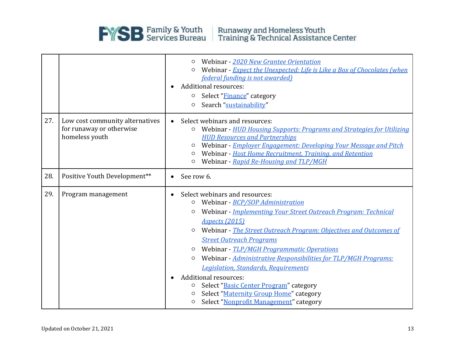

Runaway and Homeless Youth<br>Training & Technical Assistance Center

|     |                                                                               |                        | Webinar - 2020 New Grantee Orientation<br>Webinar - Expect the Unexpected: Life is Like a Box of Chocolates (when<br><i>federal funding is not awarded)</i><br>Additional resources:<br>Select "Finance" category<br>O<br>Search "sustainability"<br>$\circ$                                                                                                                                                                                                                                                                                                                                                                                                 |  |
|-----|-------------------------------------------------------------------------------|------------------------|--------------------------------------------------------------------------------------------------------------------------------------------------------------------------------------------------------------------------------------------------------------------------------------------------------------------------------------------------------------------------------------------------------------------------------------------------------------------------------------------------------------------------------------------------------------------------------------------------------------------------------------------------------------|--|
| 27. | Low cost community alternatives<br>for runaway or otherwise<br>homeless youth | $\bullet$              | Select webinars and resources:<br>Webinar - HUD Housing Supports: Programs and Strategies for Utilizing<br>$\circ$<br><b>HUD Resources and Partnerships</b><br>Webinar - Employer Engagement: Developing Your Message and Pitch<br>$\circ$<br>Webinar - Host Home Recruitment, Training, and Retention<br>$\circ$<br>Webinar - Rapid Re-Housing and TLP/MGH<br>$\circ$                                                                                                                                                                                                                                                                                       |  |
| 28. | Positive Youth Development**                                                  |                        | See row 6.                                                                                                                                                                                                                                                                                                                                                                                                                                                                                                                                                                                                                                                   |  |
| 29. | Program management                                                            | $\bullet$<br>$\bullet$ | Select webinars and resources:<br>Webinar - BCP/SOP Administration<br>$\circ$<br>Webinar - Implementing Your Street Outreach Program: Technical<br>$\circ$<br><b>Aspects (2015)</b><br>Webinar - The Street Outreach Program: Objectives and Outcomes of<br><b>Street Outreach Programs</b><br>Webinar - TLP/MGH Programmatic Operations<br>$\circ$<br>Webinar - Administrative Responsibilities for TLP/MGH Programs:<br>$\circ$<br><b>Legislation, Standards, Requirements</b><br>Additional resources:<br>Select "Basic Center Program" category<br>O<br>Select "Maternity Group Home" category<br>$\circ$<br>Select "Nonprofit Management" category<br>O |  |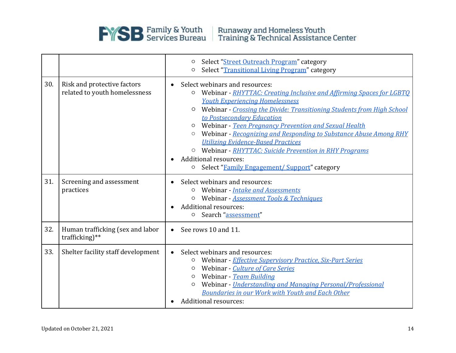

Runaway and Homeless Youth<br>Training & Technical Assistance Center

|     |                                                              | Select "Street Outreach Program" category<br>O<br>Select "Transitional Living Program" category<br>O                                                                                                                                                                                                                                                                                                                                                                                                                                                                                                            |  |
|-----|--------------------------------------------------------------|-----------------------------------------------------------------------------------------------------------------------------------------------------------------------------------------------------------------------------------------------------------------------------------------------------------------------------------------------------------------------------------------------------------------------------------------------------------------------------------------------------------------------------------------------------------------------------------------------------------------|--|
| 30. | Risk and protective factors<br>related to youth homelessness | Select webinars and resources:<br>$\bullet$<br>Webinar - RHYTTAC: Creating Inclusive and Affirming Spaces for LGBTQ<br>O<br><b>Youth Experiencing Homelessness</b><br>Webinar - Crossing the Divide: Transitioning Students from High School<br>O<br>to Postsecondary Education<br>Webinar - Teen Pregnancy Prevention and Sexual Health<br>O<br>Webinar - Recognizing and Responding to Substance Abuse Among RHY<br><b>Utilizing Evidence-Based Practices</b><br>O Webinar - RHYTTAC: Suicide Prevention in RHY Programs<br><b>Additional resources:</b><br>Select "Family Engagement/ Support" category<br>O |  |
| 31. | Screening and assessment<br>practices                        | Select webinars and resources:<br>Webinar - Intake and Assessments<br>O<br>Webinar - Assessment Tools & Techniques<br><b>Additional resources:</b><br>Search "assessment"<br>$\circ$                                                                                                                                                                                                                                                                                                                                                                                                                            |  |
| 32. | Human trafficking (sex and labor<br>trafficking) $**$        | See rows 10 and 11.<br>$\bullet$                                                                                                                                                                                                                                                                                                                                                                                                                                                                                                                                                                                |  |
| 33. | Shelter facility staff development                           | Select webinars and resources:<br>$\bullet$<br>Webinar - Effective Supervisory Practice, Six-Part Series<br>O<br>Webinar - Culture of Care Series<br>O<br>Webinar - Team Building<br>O<br>Webinar - Understanding and Managing Personal/Professional<br>O<br>Boundaries in our Work with Youth and Each Other<br>Additional resources:                                                                                                                                                                                                                                                                          |  |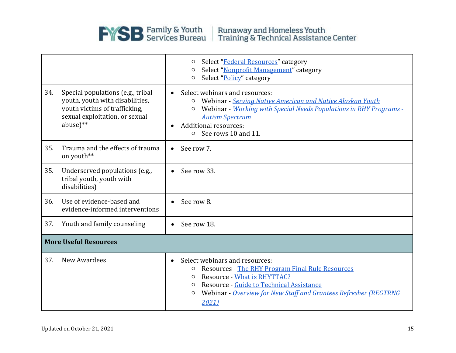

|                              |                                                                                                                                                     | Select "Federal Resources" category<br>O<br>Select "Nonprofit Management" category<br>O<br>Select "Policy" category<br>O                                                                                                                                                                                    |  |  |
|------------------------------|-----------------------------------------------------------------------------------------------------------------------------------------------------|-------------------------------------------------------------------------------------------------------------------------------------------------------------------------------------------------------------------------------------------------------------------------------------------------------------|--|--|
| 34.                          | Special populations (e.g., tribal<br>youth, youth with disabilities,<br>youth victims of trafficking,<br>sexual exploitation, or sexual<br>abuse)** | Select webinars and resources:<br>Webinar - Serving Native American and Native Alaskan Youth<br>O<br>Webinar - Working with Special Needs Populations in RHY Programs -<br><b>Autism Spectrum</b><br><b>Additional resources:</b><br>See rows 10 and 11.<br>$\circ$                                         |  |  |
| 35.                          | Trauma and the effects of trauma<br>on youth**                                                                                                      | See row 7.<br>$\bullet$                                                                                                                                                                                                                                                                                     |  |  |
| 35.                          | Underserved populations (e.g.,<br>tribal youth, youth with<br>disabilities)                                                                         | See row 33.<br>$\bullet$                                                                                                                                                                                                                                                                                    |  |  |
| 36.                          | Use of evidence-based and<br>evidence-informed interventions                                                                                        | See row 8.                                                                                                                                                                                                                                                                                                  |  |  |
| 37.                          | Youth and family counseling                                                                                                                         | See row 18.<br>$\bullet$                                                                                                                                                                                                                                                                                    |  |  |
| <b>More Useful Resources</b> |                                                                                                                                                     |                                                                                                                                                                                                                                                                                                             |  |  |
| 37.                          | New Awardees                                                                                                                                        | Select webinars and resources:<br>$\bullet$<br><b>Resources - The RHY Program Final Rule Resources</b><br>O<br><b>Resource - What is RHYTTAC?</b><br>$\circ$<br>Resource - Guide to Technical Assistance<br>$\circ$<br>Webinar - Overview for New Staff and Grantees Refresher (REGTRNG<br>$\circ$<br>2021) |  |  |